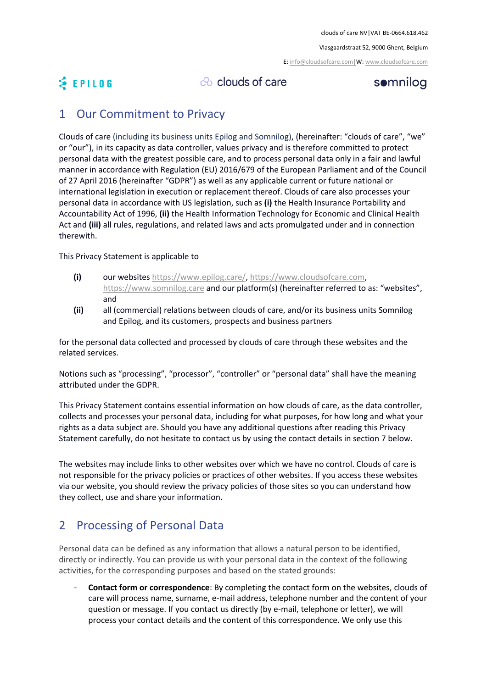Vlasgaardstraat 52, 9000 Ghent, Belgium

E[: info@cloudsofcare.com|W:](mailto:info@cloudsofcare.com%7CW) [www.cloudsofcare.com](http://www.cloudsofcare.com/)

## **& EPILOG**

co clouds of care

#### somnilog

#### 1 Our Commitment to Privacy

Clouds of care (including its business units Epilog and Somnilog), (hereinafter: "clouds of care", "we" or "our"), in its capacity as data controller, values privacy and is therefore committed to protect personal data with the greatest possible care, and to process personal data only in a fair and lawful manner in accordance with Regulation (EU) 2016/679 of the European Parliament and of the Council of 27 April 2016 (hereinafter "GDPR") as well as any applicable current or future national or international legislation in execution or replacement thereof. Clouds of care also processes your personal data in accordance with US legislation, such as **(i)** the Health Insurance Portability and Accountability Act of 1996, **(ii)** the Health Information Technology for Economic and Clinical Health Act and **(iii)** all rules, regulations, and related laws and acts promulgated under and in connection therewith.

This Privacy Statement is applicable to

- **(i)** our websites [https://www.epilog.care/,](https://www.epilog.care/) [https://www.cloudsofcare.com,](https://www.cloudsofcare.com/) [https://www.somnilog.care](https://www.somnilog.care/) and our platform(s) (hereinafter referred to as: "websites", and
- **(ii)** all (commercial) relations between clouds of care, and/or its business units Somnilog and Epilog, and its customers, prospects and business partners

for the personal data collected and processed by clouds of care through these websites and the related services.

Notions such as "processing", "processor", "controller" or "personal data" shall have the meaning attributed under the GDPR.

This Privacy Statement contains essential information on how clouds of care, as the data controller, collects and processes your personal data, including for what purposes, for how long and what your rights as a data subject are. Should you have any additional questions after reading this Privacy Statement carefully, do not hesitate to contact us by using the contact details in section 7 below.

The websites may include links to other websites over which we have no control. Clouds of care is not responsible for the privacy policies or practices of other websites. If you access these websites via our website, you should review the privacy policies of those sites so you can understand how they collect, use and share your information.

### 2 Processing of Personal Data

Personal data can be defined as any information that allows a natural person to be identified, directly or indirectly. You can provide us with your personal data in the context of the following activities, for the corresponding purposes and based on the stated grounds:

- **Contact form or correspondence**: By completing the contact form on the websites, clouds of care will process name, surname, e-mail address, telephone number and the content of your question or message. If you contact us directly (by e-mail, telephone or letter), we will process your contact details and the content of this correspondence. We only use this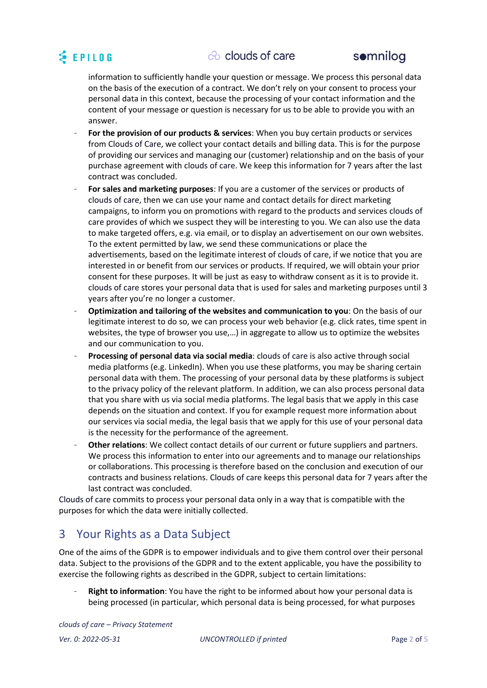## **SEPILOG**

#### $\infty$  clouds of care



information to sufficiently handle your question or message. We process this personal data on the basis of the execution of a contract. We don't rely on your consent to process your personal data in this context, because the processing of your contact information and the content of your message or question is necessary for us to be able to provide you with an answer.

- **For the provision of our products & services**: When you buy certain products or services from Clouds of Care, we collect your contact details and billing data. This is for the purpose of providing our services and managing our (customer) relationship and on the basis of your purchase agreement with clouds of care. We keep this information for 7 years after the last contract was concluded.
- **For sales and marketing purposes**: If you are a customer of the services or products of clouds of care, then we can use your name and contact details for direct marketing campaigns, to inform you on promotions with regard to the products and services clouds of care provides of which we suspect they will be interesting to you. We can also use the data to make targeted offers, e.g. via email, or to display an advertisement on our own websites. To the extent permitted by law, we send these communications or place the advertisements, based on the legitimate interest of clouds of care, if we notice that you are interested in or benefit from our services or products. If required, we will obtain your prior consent for these purposes. It will be just as easy to withdraw consent as it is to provide it. clouds of care stores your personal data that is used for sales and marketing purposes until 3 years after you're no longer a customer.
- **Optimization and tailoring of the websites and communication to you**: On the basis of our legitimate interest to do so, we can process your web behavior (e.g. click rates, time spent in websites, the type of browser you use,…) in aggregate to allow us to optimize the websites and our communication to you.
- **Processing of personal data via social media**: clouds of care is also active through social media platforms (e.g. LinkedIn). When you use these platforms, you may be sharing certain personal data with them. The processing of your personal data by these platforms is subject to the privacy policy of the relevant platform. In addition, we can also process personal data that you share with us via social media platforms. The legal basis that we apply in this case depends on the situation and context. If you for example request more information about our services via social media, the legal basis that we apply for this use of your personal data is the necessity for the performance of the agreement.
- **Other relations**: We collect contact details of our current or future suppliers and partners. We process this information to enter into our agreements and to manage our relationships or collaborations. This processing is therefore based on the conclusion and execution of our contracts and business relations. Clouds of care keeps this personal data for 7 years after the last contract was concluded.

Clouds of care commits to process your personal data only in a way that is compatible with the purposes for which the data were initially collected.

### 3 Your Rights as a Data Subject

One of the aims of the GDPR is to empower individuals and to give them control over their personal data. Subject to the provisions of the GDPR and to the extent applicable, you have the possibility to exercise the following rights as described in the GDPR, subject to certain limitations:

**Right to information**: You have the right to be informed about how your personal data is being processed (in particular, which personal data is being processed, for what purposes

*clouds of care – Privacy Statement Ver. 0: 2022-05-31 UNCONTROLLED if printed* Page 2 of 5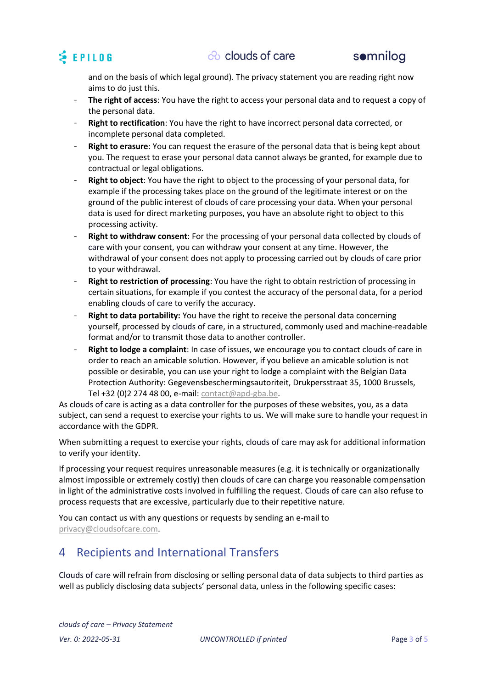

and on the basis of which legal ground). The privacy statement you are reading right now aims to do just this.

- **The right of access**: You have the right to access your personal data and to request a copy of the personal data.
- **Right to rectification**: You have the right to have incorrect personal data corrected, or incomplete personal data completed.
- **Right to erasure**: You can request the erasure of the personal data that is being kept about you. The request to erase your personal data cannot always be granted, for example due to contractual or legal obligations.
- **Right to object**: You have the right to object to the processing of your personal data, for example if the processing takes place on the ground of the legitimate interest or on the ground of the public interest of clouds of care processing your data. When your personal data is used for direct marketing purposes, you have an absolute right to object to this processing activity.
- Right to withdraw consent: For the processing of your personal data collected by clouds of care with your consent, you can withdraw your consent at any time. However, the withdrawal of your consent does not apply to processing carried out by clouds of care prior to your withdrawal.
- **Right to restriction of processing**: You have the right to obtain restriction of processing in certain situations, for example if you contest the accuracy of the personal data, for a period enabling clouds of care to verify the accuracy.
- **Right to data portability:** You have the right to receive the personal data concerning yourself, processed by clouds of care, in a structured, commonly used and machine-readable format and/or to transmit those data to another controller.
- **Right to lodge a complaint**: In case of issues, we encourage you to contact clouds of care in order to reach an amicable solution. However, if you believe an amicable solution is not possible or desirable, you can use your right to lodge a complaint with the Belgian Data Protection Authority: Gegevensbeschermingsautoriteit, Drukpersstraat 35, 1000 Brussels, Tel +32 (0)2 274 48 00, e-mail: [contact@apd-gba.be.](mailto:contact@apd-gba.be)

As clouds of care is acting as a data controller for the purposes of these websites, you, as a data subject, can send a request to exercise your rights to us. We will make sure to handle your request in accordance with the GDPR.

When submitting a request to exercise your rights, clouds of care may ask for additional information to verify your identity.

If processing your request requires unreasonable measures (e.g. it is technically or organizationally almost impossible or extremely costly) then clouds of care can charge you reasonable compensation in light of the administrative costs involved in fulfilling the request. Clouds of care can also refuse to process requests that are excessive, particularly due to their repetitive nature.

You can contact us with any questions or requests by sending an e-mail to [privacy@cloudsofcare.com.](mailto:privacy@cloudsofcare.com)

#### 4 Recipients and International Transfers

Clouds of care will refrain from disclosing or selling personal data of data subjects to third parties as well as publicly disclosing data subjects' personal data, unless in the following specific cases: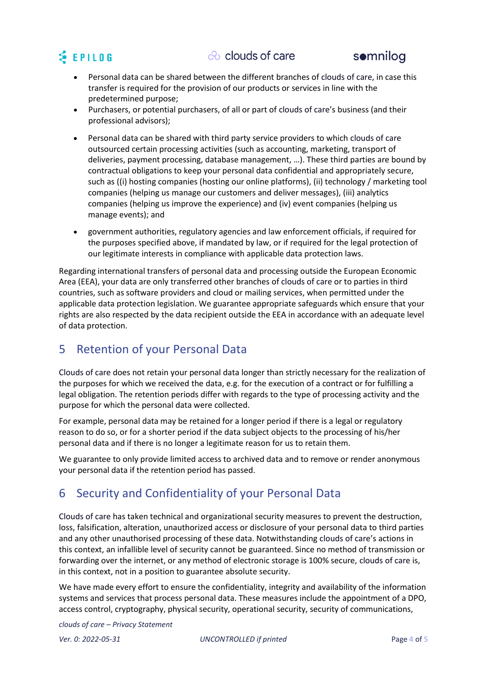



- Personal data can be shared between the different branches of clouds of care, in case this transfer is required for the provision of our products or services in line with the predetermined purpose;
- Purchasers, or potential purchasers, of all or part of clouds of care's business (and their professional advisors);
- Personal data can be shared with third party service providers to which clouds of care outsourced certain processing activities (such as accounting, marketing, transport of deliveries, payment processing, database management, …). These third parties are bound by contractual obligations to keep your personal data confidential and appropriately secure, such as ((i) hosting companies (hosting our online platforms), (ii) technology / marketing tool companies (helping us manage our customers and deliver messages), (iii) analytics companies (helping us improve the experience) and (iv) event companies (helping us manage events); and
- government authorities, regulatory agencies and law enforcement officials, if required for the purposes specified above, if mandated by law, or if required for the legal protection of our legitimate interests in compliance with applicable data protection laws.

Regarding international transfers of personal data and processing outside the European Economic Area (EEA), your data are only transferred other branches of clouds of care or to parties in third countries, such as software providers and cloud or mailing services, when permitted under the applicable data protection legislation. We guarantee appropriate safeguards which ensure that your rights are also respected by the data recipient outside the EEA in accordance with an adequate level of data protection.

### 5 Retention of your Personal Data

Clouds of care does not retain your personal data longer than strictly necessary for the realization of the purposes for which we received the data, e.g. for the execution of a contract or for fulfilling a legal obligation. The retention periods differ with regards to the type of processing activity and the purpose for which the personal data were collected.

For example, personal data may be retained for a longer period if there is a legal or regulatory reason to do so, or for a shorter period if the data subject objects to the processing of his/her personal data and if there is no longer a legitimate reason for us to retain them.

We guarantee to only provide limited access to archived data and to remove or render anonymous your personal data if the retention period has passed.

#### 6 Security and Confidentiality of your Personal Data

Clouds of care has taken technical and organizational security measures to prevent the destruction, loss, falsification, alteration, unauthorized access or disclosure of your personal data to third parties and any other unauthorised processing of these data. Notwithstanding clouds of care's actions in this context, an infallible level of security cannot be guaranteed. Since no method of transmission or forwarding over the internet, or any method of electronic storage is 100% secure, clouds of care is, in this context, not in a position to guarantee absolute security.

We have made every effort to ensure the confidentiality, integrity and availability of the information systems and services that process personal data. These measures include the appointment of a DPO, access control, cryptography, physical security, operational security, security of communications,

*clouds of care – Privacy Statement*